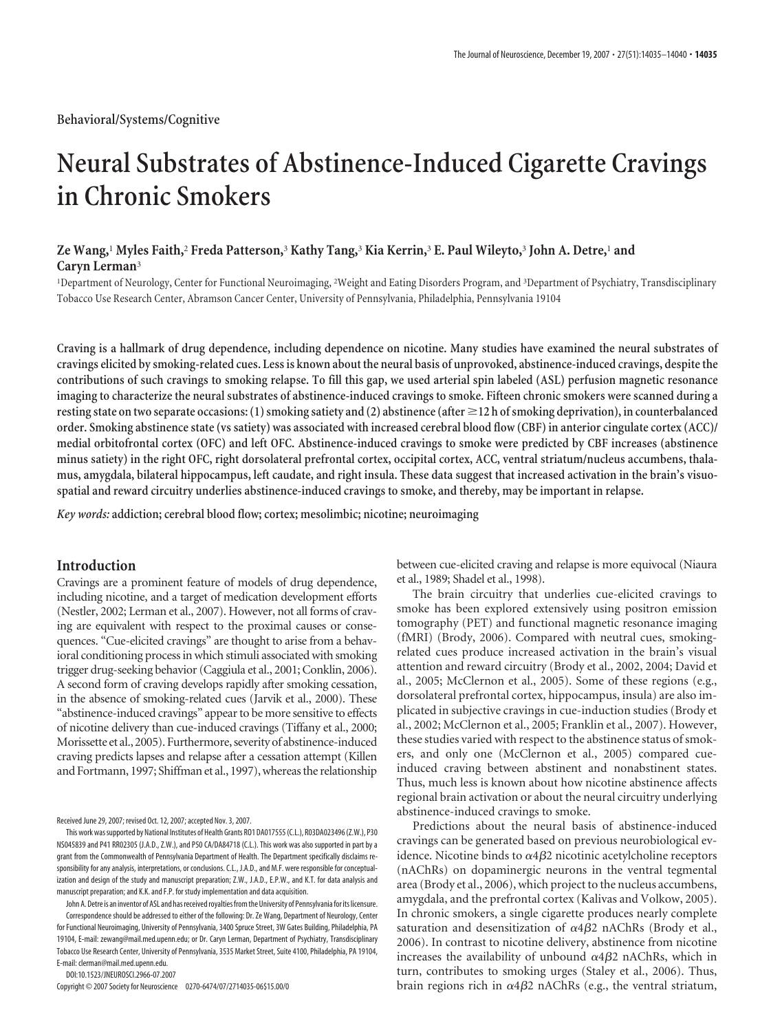# **Neural Substrates of Abstinence-Induced Cigarette Cravings in Chronic Smokers**

# **Ze Wang,**<sup>1</sup> **Myles Faith,**<sup>2</sup> **Freda Patterson,**<sup>3</sup> **Kathy Tang,**<sup>3</sup> **Kia Kerrin,**<sup>3</sup> **E. Paul Wileyto,**<sup>3</sup> **John A. Detre,**<sup>1</sup> **and Caryn Lerman**<sup>3</sup>

1 Department of Neurology, Center for Functional Neuroimaging, <sup>2</sup> Weight and Eating Disorders Program, and <sup>3</sup> Department of Psychiatry, Transdisciplinary Tobacco Use Research Center, Abramson Cancer Center, University of Pennsylvania, Philadelphia, Pennsylvania 19104

**Craving is a hallmark of drug dependence, including dependence on nicotine. Many studies have examined the neural substrates of cravings elicited by smoking-related cues. Less is known about the neural basis of unprovoked, abstinence-induced cravings, despite the contributions of such cravings to smoking relapse. To fill this gap, we used arterial spin labeled (ASL) perfusion magnetic resonance imaging to characterize the neural substrates of abstinence-induced cravings to smoke. Fifteen chronic smokers were scanned during a resting state on two separate occasions: (1) smoking satiety and (2) abstinence (after 12 h of smoking deprivation), in counterbalanced order. Smoking abstinence state (vs satiety) was associated with increased cerebral blood flow (CBF) in anterior cingulate cortex (ACC)/ medial orbitofrontal cortex (OFC) and left OFC. Abstinence-induced cravings to smoke were predicted by CBF increases (abstinence minus satiety) in the right OFC, right dorsolateral prefrontal cortex, occipital cortex, ACC, ventral striatum/nucleus accumbens, thalamus, amygdala, bilateral hippocampus, left caudate, and right insula. These data suggest that increased activation in the brain's visuospatial and reward circuitry underlies abstinence-induced cravings to smoke, and thereby, may be important in relapse.**

*Key words:* **addiction; cerebral blood flow; cortex; mesolimbic; nicotine; neuroimaging**

## **Introduction**

Cravings are a prominent feature of models of drug dependence, including nicotine, and a target of medication development efforts (Nestler, 2002; Lerman et al., 2007). However, not all forms of craving are equivalent with respect to the proximal causes or consequences. "Cue-elicited cravings" are thought to arise from a behavioral conditioning process in which stimuli associated with smoking trigger drug-seeking behavior (Caggiula et al., 2001; Conklin, 2006). A second form of craving develops rapidly after smoking cessation, in the absence of smoking-related cues (Jarvik et al., 2000). These "abstinence-induced cravings" appear to be more sensitive to effects of nicotine delivery than cue-induced cravings (Tiffany et al., 2000; Morissette et al., 2005). Furthermore, severity of abstinence-induced craving predicts lapses and relapse after a cessation attempt (Killen and Fortmann, 1997; Shiffman et al., 1997), whereas the relationship

Received June 29, 2007; revised Oct. 12, 2007; accepted Nov. 3, 2007.

This work wassupported by National Institutes of Health Grants RO1 DA017555(C.L.), R03DA023496(Z.W.), P30 NS045839 and P41 RR02305 (J.A.D., Z.W.), and P50 CA/DA84718 (C.L.). This work was also supported in part by a grant from the Commonwealth of Pennsylvania Department of Health. The Department specifically disclaims responsibility for any analysis, interpretations, or conclusions. C.L., J.A.D., and M.F. were responsible for conceptualization and design of the study and manuscript preparation; Z.W., J.A.D., E.P.W., and K.T. for data analysis and manuscript preparation; and K.K. and F.P. for study implementation and data acquisition.

John A. Detre is an inventor of ASL and has received royalties from the University of Pennsylvania for its licensure. Correspondence should be addressed to either of the following: Dr. Ze Wang, Department of Neurology, Center for Functional Neuroimaging, University of Pennsylvania, 3400 Spruce Street, 3W Gates Building, Philadelphia, PA 19104, E-mail: zewang@mail.med.upenn.edu; or Dr. Caryn Lerman, Department of Psychiatry, Transdisciplinary Tobacco Use Research Center, University of Pennsylvania, 3535 Market Street, Suite 4100, Philadelphia, PA 19104, E-mail: clerman@mail.med.upenn.edu.

DOI:10.1523/JNEUROSCI.2966-07.2007

Copyright © 2007 Society for Neuroscience 0270-6474/07/2714035-06\$15.00/0

between cue-elicited craving and relapse is more equivocal (Niaura et al., 1989; Shadel et al., 1998).

The brain circuitry that underlies cue-elicited cravings to smoke has been explored extensively using positron emission tomography (PET) and functional magnetic resonance imaging (fMRI) (Brody, 2006). Compared with neutral cues, smokingrelated cues produce increased activation in the brain's visual attention and reward circuitry (Brody et al., 2002, 2004; David et al., 2005; McClernon et al., 2005). Some of these regions (e.g., dorsolateral prefrontal cortex, hippocampus, insula) are also implicated in subjective cravings in cue-induction studies (Brody et al., 2002; McClernon et al., 2005; Franklin et al., 2007). However, these studies varied with respect to the abstinence status of smokers, and only one (McClernon et al., 2005) compared cueinduced craving between abstinent and nonabstinent states. Thus, much less is known about how nicotine abstinence affects regional brain activation or about the neural circuitry underlying abstinence-induced cravings to smoke.

Predictions about the neural basis of abstinence-induced cravings can be generated based on previous neurobiological evidence. Nicotine binds to  $\alpha 4\beta 2$  nicotinic acetylcholine receptors (nAChRs) on dopaminergic neurons in the ventral tegmental area (Brody et al., 2006), which project to the nucleus accumbens, amygdala, and the prefrontal cortex (Kalivas and Volkow, 2005). In chronic smokers, a single cigarette produces nearly complete saturation and desensitization of  $\alpha$ 4 $\beta$ 2 nAChRs (Brody et al., 2006). In contrast to nicotine delivery, abstinence from nicotine increases the availability of unbound  $\alpha 4\beta 2$  nAChRs, which in turn, contributes to smoking urges (Staley et al., 2006). Thus, brain regions rich in  $\alpha 4\beta 2$  nAChRs (e.g., the ventral striatum,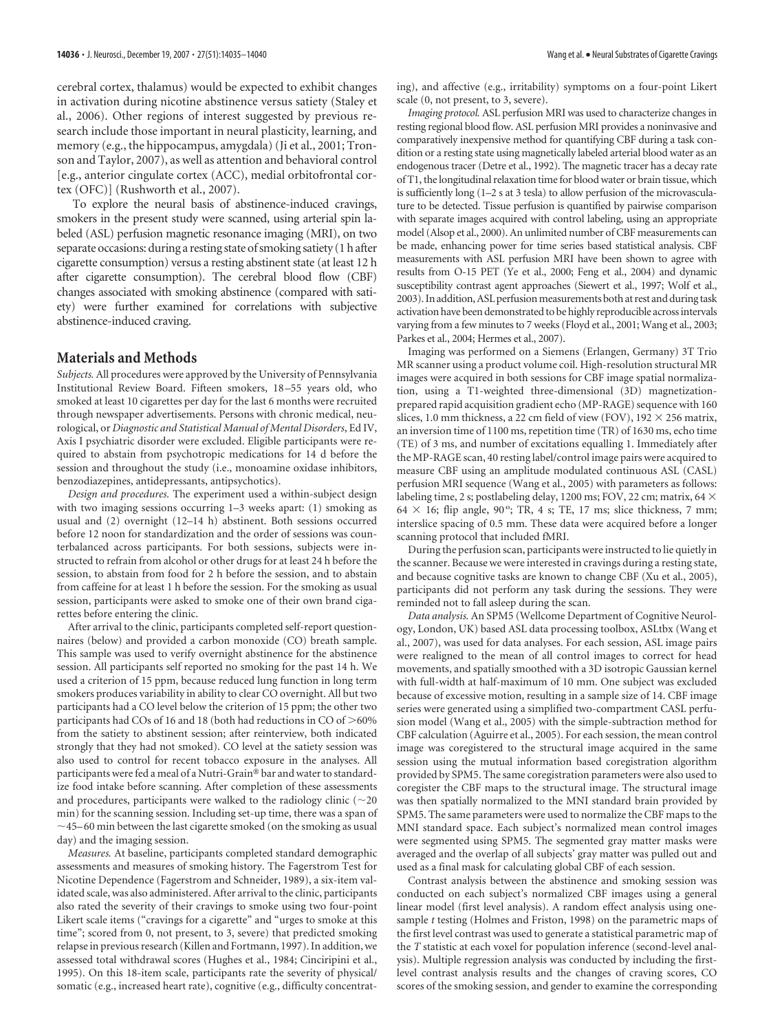cerebral cortex, thalamus) would be expected to exhibit changes in activation during nicotine abstinence versus satiety (Staley et al., 2006). Other regions of interest suggested by previous research include those important in neural plasticity, learning, and memory (e.g., the hippocampus, amygdala) (Ji et al., 2001; Tronson and Taylor, 2007), as well as attention and behavioral control [e.g., anterior cingulate cortex (ACC), medial orbitofrontal cortex (OFC)] (Rushworth et al., 2007).

To explore the neural basis of abstinence-induced cravings, smokers in the present study were scanned, using arterial spin labeled (ASL) perfusion magnetic resonance imaging (MRI), on two separate occasions: during a resting state of smoking satiety (1 h after cigarette consumption) versus a resting abstinent state (at least 12 h after cigarette consumption). The cerebral blood flow (CBF) changes associated with smoking abstinence (compared with satiety) were further examined for correlations with subjective abstinence-induced craving.

## **Materials and Methods**

*Subjects.* All procedures were approved by the University of Pennsylvania Institutional Review Board. Fifteen smokers, 18 –55 years old, who smoked at least 10 cigarettes per day for the last 6 months were recruited through newspaper advertisements. Persons with chronic medical, neurological, or *Diagnostic and Statistical Manual of Mental Disorders*, Ed IV, Axis I psychiatric disorder were excluded. Eligible participants were required to abstain from psychotropic medications for 14 d before the session and throughout the study (i.e., monoamine oxidase inhibitors, benzodiazepines, antidepressants, antipsychotics).

*Design and procedures.* The experiment used a within-subject design with two imaging sessions occurring 1–3 weeks apart: (1) smoking as usual and (2) overnight (12–14 h) abstinent. Both sessions occurred before 12 noon for standardization and the order of sessions was counterbalanced across participants. For both sessions, subjects were instructed to refrain from alcohol or other drugs for at least 24 h before the session, to abstain from food for 2 h before the session, and to abstain from caffeine for at least 1 h before the session. For the smoking as usual session, participants were asked to smoke one of their own brand cigarettes before entering the clinic.

After arrival to the clinic, participants completed self-report questionnaires (below) and provided a carbon monoxide (CO) breath sample. This sample was used to verify overnight abstinence for the abstinence session. All participants self reported no smoking for the past 14 h. We used a criterion of 15 ppm, because reduced lung function in long term smokers produces variability in ability to clear CO overnight. All but two participants had a CO level below the criterion of 15 ppm; the other two participants had COs of 16 and 18 (both had reductions in CO of  $>$  60% from the satiety to abstinent session; after reinterview, both indicated strongly that they had not smoked). CO level at the satiety session was also used to control for recent tobacco exposure in the analyses. All participants were fed a meal of a Nutri-Grain® bar and water to standardize food intake before scanning. After completion of these assessments and procedures, participants were walked to the radiology clinic ( $\sim$ 20 min) for the scanning session. Including set-up time, there was a span of  $\sim$ 45–60 min between the last cigarette smoked (on the smoking as usual day) and the imaging session.

*Measures.* At baseline, participants completed standard demographic assessments and measures of smoking history. The Fagerstrom Test for Nicotine Dependence (Fagerstrom and Schneider, 1989), a six-item validated scale, was also administered. After arrival to the clinic, participants also rated the severity of their cravings to smoke using two four-point Likert scale items ("cravings for a cigarette" and "urges to smoke at this time"; scored from 0, not present, to 3, severe) that predicted smoking relapse in previous research (Killen and Fortmann, 1997). In addition, we assessed total withdrawal scores (Hughes et al., 1984; Cinciripini et al., 1995). On this 18-item scale, participants rate the severity of physical/ somatic (e.g., increased heart rate), cognitive (e.g., difficulty concentrating), and affective (e.g., irritability) symptoms on a four-point Likert scale (0, not present, to 3, severe).

*Imaging protocol.* ASL perfusion MRI was used to characterize changes in resting regional blood flow. ASL perfusion MRI provides a noninvasive and comparatively inexpensive method for quantifying CBF during a task condition or a resting state using magnetically labeled arterial blood water as an endogenous tracer (Detre et al., 1992). The magnetic tracer has a decay rate of T1, the longitudinal relaxation time for blood water or brain tissue, which is sufficiently long (1–2 s at 3 tesla) to allow perfusion of the microvasculature to be detected. Tissue perfusion is quantified by pairwise comparison with separate images acquired with control labeling, using an appropriate model (Alsop et al., 2000). An unlimited number of CBF measurements can be made, enhancing power for time series based statistical analysis. CBF measurements with ASL perfusion MRI have been shown to agree with results from O-15 PET (Ye et al., 2000; Feng et al., 2004) and dynamic susceptibility contrast agent approaches (Siewert et al., 1997; Wolf et al., 2003). In addition, ASL perfusion measurements both at rest and during task activation have been demonstrated to be highly reproducible across intervals varying from a few minutes to 7 weeks (Floyd et al., 2001; Wang et al., 2003; Parkes et al., 2004; Hermes et al., 2007).

Imaging was performed on a Siemens (Erlangen, Germany) 3T Trio MR scanner using a product volume coil. High-resolution structural MR images were acquired in both sessions for CBF image spatial normalization, using a T1-weighted three-dimensional (3D) magnetizationprepared rapid acquisition gradient echo (MP-RAGE) sequence with 160 slices, 1.0 mm thickness, a 22 cm field of view (FOV), 192  $\times$  256 matrix, an inversion time of 1100 ms, repetition time (TR) of 1630 ms, echo time (TE) of 3 ms, and number of excitations equalling 1. Immediately after the MP-RAGE scan, 40 resting label/control image pairs were acquired to measure CBF using an amplitude modulated continuous ASL (CASL) perfusion MRI sequence (Wang et al., 2005) with parameters as follows: labeling time, 2 s; postlabeling delay, 1200 ms; FOV, 22 cm; matrix, 64  $\times$  $64 \times 16$ ; flip angle,  $90^\circ$ ; TR, 4 s; TE, 17 ms; slice thickness, 7 mm; interslice spacing of 0.5 mm. These data were acquired before a longer scanning protocol that included fMRI.

During the perfusion scan, participants were instructed to lie quietly in the scanner. Because we were interested in cravings during a resting state, and because cognitive tasks are known to change CBF (Xu et al., 2005), participants did not perform any task during the sessions. They were reminded not to fall asleep during the scan.

*Data analysis.* An SPM5 (Wellcome Department of Cognitive Neurology, London, UK) based ASL data processing toolbox, ASLtbx (Wang et al., 2007), was used for data analyses. For each session, ASL image pairs were realigned to the mean of all control images to correct for head movements, and spatially smoothed with a 3D isotropic Gaussian kernel with full-width at half-maximum of 10 mm. One subject was excluded because of excessive motion, resulting in a sample size of 14. CBF image series were generated using a simplified two-compartment CASL perfusion model (Wang et al., 2005) with the simple-subtraction method for CBF calculation (Aguirre et al., 2005). For each session, the mean control image was coregistered to the structural image acquired in the same session using the mutual information based coregistration algorithm provided by SPM5. The same coregistration parameters were also used to coregister the CBF maps to the structural image. The structural image was then spatially normalized to the MNI standard brain provided by SPM5. The same parameters were used to normalize the CBF maps to the MNI standard space. Each subject's normalized mean control images were segmented using SPM5. The segmented gray matter masks were averaged and the overlap of all subjects' gray matter was pulled out and used as a final mask for calculating global CBF of each session.

Contrast analysis between the abstinence and smoking session was conducted on each subject's normalized CBF images using a general linear model (first level analysis). A random effect analysis using onesample *t* testing (Holmes and Friston, 1998) on the parametric maps of the first level contrast was used to generate a statistical parametric map of the *T* statistic at each voxel for population inference (second-level analysis). Multiple regression analysis was conducted by including the firstlevel contrast analysis results and the changes of craving scores, CO scores of the smoking session, and gender to examine the corresponding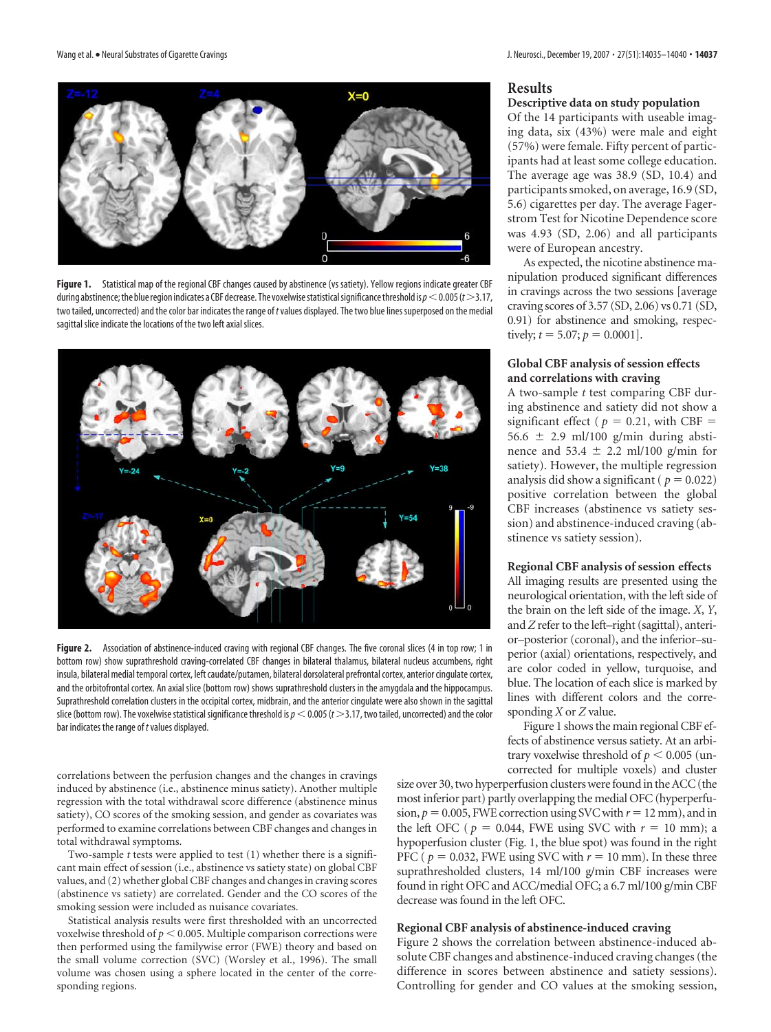

**Figure 1.** Statistical map of the regional CBF changes caused by abstinence (vs satiety). Yellow regions indicate greater CBF during abstinence; the blue region indicates a CBF decrease. The voxelwise statistical significance threshold is  $p < 0.005$  ( $t > 3.17$ , two tailed, uncorrected) and the color bar indicates the range of *t*values displayed. The two blue lines superposed on the medial sagittal slice indicate the locations of the two left axial slices.



Figure 2. Association of abstinence-induced craving with regional CBF changes. The five coronal slices (4 in top row; 1 in bottom row) show suprathreshold craving-correlated CBF changes in bilateral thalamus, bilateral nucleus accumbens, right insula, bilateral medial temporal cortex, left caudate/putamen, bilateral dorsolateral prefrontal cortex, anterior cingulate cortex, and the orbitofrontal cortex. An axial slice (bottom row) shows suprathreshold clusters in the amygdala and the hippocampus. Suprathreshold correlation clusters in the occipital cortex, midbrain, and the anterior cingulate were also shown in the sagittal slice (bottom row). The voxelwise statistical significance threshold is  $p < 0.005$  ( $t > 3.17$ , two tailed, uncorrected) and the color bar indicates the range of *t*values displayed.

correlations between the perfusion changes and the changes in cravings induced by abstinence (i.e., abstinence minus satiety). Another multiple regression with the total withdrawal score difference (abstinence minus satiety), CO scores of the smoking session, and gender as covariates was performed to examine correlations between CBF changes and changes in total withdrawal symptoms.

Two-sample *t* tests were applied to test (1) whether there is a significant main effect of session (i.e., abstinence vs satiety state) on global CBF values, and (2) whether global CBF changes and changes in craving scores (abstinence vs satiety) are correlated. Gender and the CO scores of the smoking session were included as nuisance covariates.

Statistical analysis results were first thresholded with an uncorrected voxelwise threshold of  $p\leq$  0.005. Multiple comparison corrections were then performed using the familywise error (FWE) theory and based on the small volume correction (SVC) (Worsley et al., 1996). The small volume was chosen using a sphere located in the center of the corresponding regions.

#### **Results Descriptive data on study population**

Of the 14 participants with useable imaging data, six (43%) were male and eight (57%) were female. Fifty percent of participants had at least some college education. The average age was 38.9 (SD, 10.4) and participants smoked, on average, 16.9 (SD, 5.6) cigarettes per day. The average Fagerstrom Test for Nicotine Dependence score was 4.93 (SD, 2.06) and all participants were of European ancestry.

As expected, the nicotine abstinence manipulation produced significant differences in cravings across the two sessions [average craving scores of 3.57 (SD, 2.06) vs 0.71 (SD, 0.91) for abstinence and smoking, respectively;  $t = 5.07$ ;  $p = 0.0001$ ].

## **Global CBF analysis of session effects and correlations with craving**

A two-sample *t* test comparing CBF during abstinence and satiety did not show a significant effect ( $p = 0.21$ , with CBF = 56.6  $\pm$  2.9 ml/100 g/min during abstinence and  $53.4 \pm 2.2$  ml/100 g/min for satiety). However, the multiple regression analysis did show a significant ( $p = 0.022$ ) positive correlation between the global CBF increases (abstinence vs satiety session) and abstinence-induced craving (abstinence vs satiety session).

#### **Regional CBF analysis of session effects**

All imaging results are presented using the neurological orientation, with the left side of the brain on the left side of the image. *X*, *Y*, and *Z* refer to the left–right (sagittal), anterior–posterior (coronal), and the inferior–superior (axial) orientations, respectively, and are color coded in yellow, turquoise, and blue. The location of each slice is marked by lines with different colors and the corresponding *X* or *Z* value.

Figure 1 shows the main regional CBF effects of abstinence versus satiety. At an arbitrary voxelwise threshold of  $p < 0.005$  (uncorrected for multiple voxels) and cluster

size over 30, two hyperperfusion clusters were found in the ACC (the most inferior part) partly overlapping the medial OFC (hyperperfusion,  $p = 0.005$ , FWE correction using SVC with  $r = 12$  mm), and in the left OFC ( $p = 0.044$ , FWE using SVC with  $r = 10$  mm); a hypoperfusion cluster (Fig. 1, the blue spot) was found in the right PFC ( $p = 0.032$ , FWE using SVC with  $r = 10$  mm). In these three suprathresholded clusters, 14 ml/100 g/min CBF increases were found in right OFC and ACC/medial OFC; a 6.7 ml/100 g/min CBF decrease was found in the left OFC.

## **Regional CBF analysis of abstinence-induced craving**

Figure 2 shows the correlation between abstinence-induced absolute CBF changes and abstinence-induced craving changes (the difference in scores between abstinence and satiety sessions). Controlling for gender and CO values at the smoking session,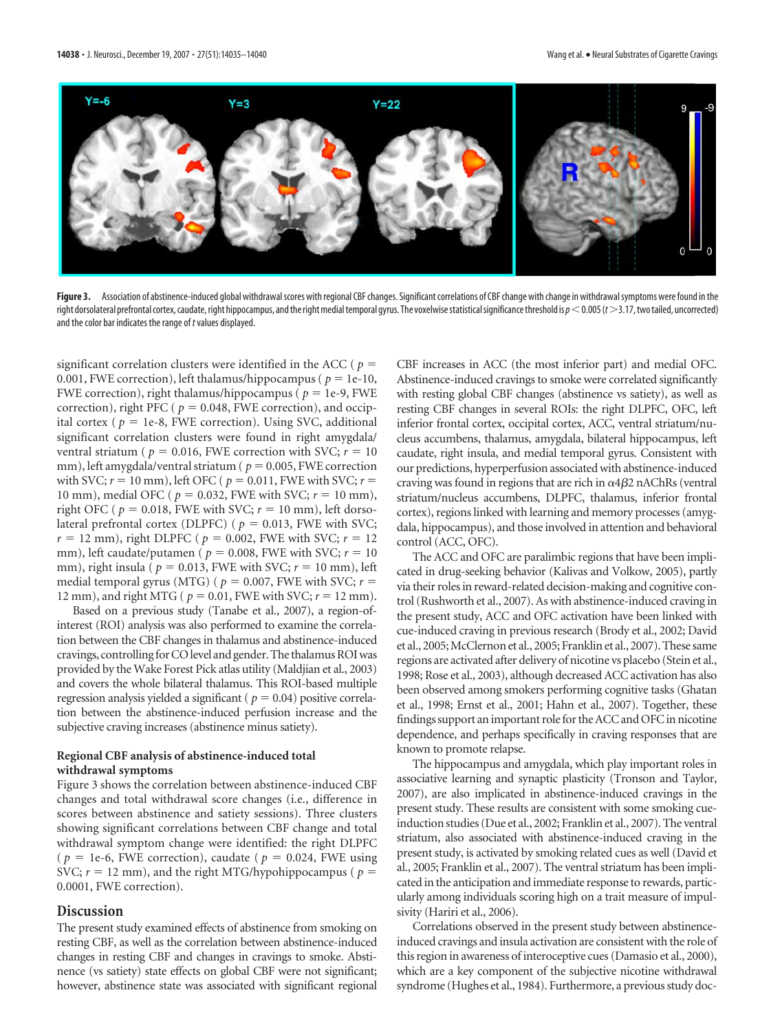

Figure 3. Association of abstinence-induced global withdrawal scores with regional CBF changes. Significant correlations of CBF change with change in withdrawal symptoms were found in the right dorsolateral prefrontal cortex, caudate, right hippocampus, and the right medial temporal gyrus. The voxelwise statistical significance threshold is  $p$  < 0.005 (*t* > 3.17, two tailed, uncorrected) and the color bar indicates the range of *t*values displayed.

significant correlation clusters were identified in the ACC ( $p =$ 0.001, FWE correction), left thalamus/hippocampus ( $p = 1e-10$ , FWE correction), right thalamus/hippocampus ( $p = 1e-9$ , FWE correction), right PFC ( $p = 0.048$ , FWE correction), and occipital cortex ( $p = 1e-8$ , FWE correction). Using SVC, additional significant correlation clusters were found in right amygdala/ ventral striatum ( $p = 0.016$ , FWE correction with SVC;  $r = 10$ mm), left amygdala/ventral striatum ( $p = 0.005$ , FWE correction with SVC;  $r = 10$  mm), left OFC ( $p = 0.011$ , FWE with SVC;  $r =$ 10 mm), medial OFC ( $p = 0.032$ , FWE with SVC;  $r = 10$  mm), right OFC ( $p = 0.018$ , FWE with SVC;  $r = 10$  mm), left dorsolateral prefrontal cortex (DLPFC) ( $p = 0.013$ , FWE with SVC;  $r = 12$  mm), right DLPFC ( $p = 0.002$ , FWE with SVC;  $r = 12$ mm), left caudate/putamen ( $p = 0.008$ , FWE with SVC;  $r = 10$ mm), right insula ( $p = 0.013$ , FWE with SVC;  $r = 10$  mm), left medial temporal gyrus (MTG) ( $p = 0.007$ , FWE with SVC;  $r =$ 12 mm), and right MTG ( $p = 0.01$ , FWE with SVC;  $r = 12$  mm).

Based on a previous study (Tanabe et al., 2007), a region-ofinterest (ROI) analysis was also performed to examine the correlation between the CBF changes in thalamus and abstinence-induced cravings, controlling for CO level and gender. The thalamus ROI was provided by the Wake Forest Pick atlas utility (Maldjian et al., 2003) and covers the whole bilateral thalamus. This ROI-based multiple regression analysis yielded a significant ( $p = 0.04$ ) positive correlation between the abstinence-induced perfusion increase and the subjective craving increases (abstinence minus satiety).

### **Regional CBF analysis of abstinence-induced total withdrawal symptoms**

Figure 3 shows the correlation between abstinence-induced CBF changes and total withdrawal score changes (i.e., difference in scores between abstinence and satiety sessions). Three clusters showing significant correlations between CBF change and total withdrawal symptom change were identified: the right DLPFC ( $p = 1e-6$ , FWE correction), caudate ( $p = 0.024$ , FWE using SVC;  $r = 12$  mm), and the right MTG/hypohippocampus ( $p =$ 0.0001, FWE correction).

## **Discussion**

The present study examined effects of abstinence from smoking on resting CBF, as well as the correlation between abstinence-induced changes in resting CBF and changes in cravings to smoke. Abstinence (vs satiety) state effects on global CBF were not significant; however, abstinence state was associated with significant regional

CBF increases in ACC (the most inferior part) and medial OFC. Abstinence-induced cravings to smoke were correlated significantly with resting global CBF changes (abstinence vs satiety), as well as resting CBF changes in several ROIs: the right DLPFC, OFC, left inferior frontal cortex, occipital cortex, ACC, ventral striatum/nucleus accumbens, thalamus, amygdala, bilateral hippocampus, left caudate, right insula, and medial temporal gyrus. Consistent with our predictions, hyperperfusion associated with abstinence-induced craving was found in regions that are rich in  $\alpha 4 \beta 2$  nAChRs (ventral striatum/nucleus accumbens, DLPFC, thalamus, inferior frontal cortex), regions linked with learning and memory processes (amygdala, hippocampus), and those involved in attention and behavioral control (ACC, OFC).

The ACC and OFC are paralimbic regions that have been implicated in drug-seeking behavior (Kalivas and Volkow, 2005), partly via their roles in reward-related decision-making and cognitive control (Rushworth et al., 2007). As with abstinence-induced craving in the present study, ACC and OFC activation have been linked with cue-induced craving in previous research (Brody et al., 2002; David et al., 2005;McClernon et al., 2005; Franklin et al., 2007). These same regions are activated after delivery of nicotine vs placebo (Stein et al., 1998; Rose et al., 2003), although decreased ACC activation has also been observed among smokers performing cognitive tasks (Ghatan et al., 1998; Ernst et al., 2001; Hahn et al., 2007). Together, these findings support an important role for the ACC and OFC in nicotine dependence, and perhaps specifically in craving responses that are known to promote relapse.

The hippocampus and amygdala, which play important roles in associative learning and synaptic plasticity (Tronson and Taylor, 2007), are also implicated in abstinence-induced cravings in the present study. These results are consistent with some smoking cueinduction studies (Due et al., 2002; Franklin et al., 2007). The ventral striatum, also associated with abstinence-induced craving in the present study, is activated by smoking related cues as well (David et al., 2005; Franklin et al., 2007). The ventral striatum has been implicated in the anticipation and immediate response to rewards, particularly among individuals scoring high on a trait measure of impulsivity (Hariri et al., 2006).

Correlations observed in the present study between abstinenceinduced cravings and insula activation are consistent with the role of this region in awareness of interoceptive cues (Damasio et al., 2000), which are a key component of the subjective nicotine withdrawal syndrome (Hughes et al., 1984). Furthermore, a previous study doc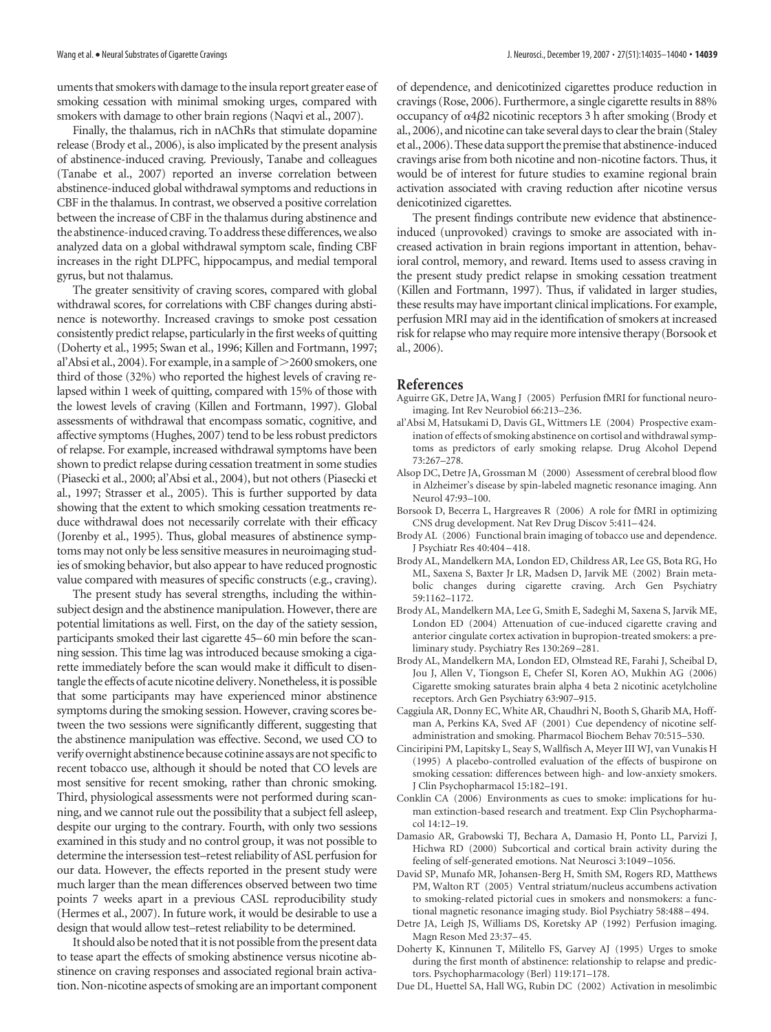uments that smokerswith damage to the insula report greater ease of smoking cessation with minimal smoking urges, compared with smokers with damage to other brain regions (Naqvi et al., 2007).

Finally, the thalamus, rich in nAChRs that stimulate dopamine release (Brody et al., 2006), is also implicated by the present analysis of abstinence-induced craving. Previously, Tanabe and colleagues (Tanabe et al., 2007) reported an inverse correlation between abstinence-induced global withdrawal symptoms and reductions in CBF in the thalamus. In contrast, we observed a positive correlation between the increase of CBF in the thalamus during abstinence and the abstinence-induced craving. To address these differences, we also analyzed data on a global withdrawal symptom scale, finding CBF increases in the right DLPFC, hippocampus, and medial temporal gyrus, but not thalamus.

The greater sensitivity of craving scores, compared with global withdrawal scores, for correlations with CBF changes during abstinence is noteworthy. Increased cravings to smoke post cessation consistently predict relapse, particularly in the first weeks of quitting (Doherty et al., 1995; Swan et al., 1996; Killen and Fortmann, 1997; al'Absi et al., 2004). For example, in a sample of  $>$  2600 smokers, one third of those (32%) who reported the highest levels of craving relapsed within 1 week of quitting, compared with 15% of those with the lowest levels of craving (Killen and Fortmann, 1997). Global assessments of withdrawal that encompass somatic, cognitive, and affective symptoms (Hughes, 2007) tend to be less robust predictors of relapse. For example, increased withdrawal symptoms have been shown to predict relapse during cessation treatment in some studies (Piasecki et al., 2000; al'Absi et al., 2004), but not others (Piasecki et al., 1997; Strasser et al., 2005). This is further supported by data showing that the extent to which smoking cessation treatments reduce withdrawal does not necessarily correlate with their efficacy (Jorenby et al., 1995). Thus, global measures of abstinence symptoms may not only be less sensitive measures in neuroimaging studies of smoking behavior, but also appear to have reduced prognostic value compared with measures of specific constructs (e.g., craving).

The present study has several strengths, including the withinsubject design and the abstinence manipulation. However, there are potential limitations as well. First, on the day of the satiety session, participants smoked their last cigarette 45–60 min before the scanning session. This time lag was introduced because smoking a cigarette immediately before the scan would make it difficult to disentangle the effects of acute nicotine delivery. Nonetheless, it is possible that some participants may have experienced minor abstinence symptoms during the smoking session. However, craving scores between the two sessions were significantly different, suggesting that the abstinence manipulation was effective. Second, we used CO to verify overnight abstinence because cotinine assays are not specific to recent tobacco use, although it should be noted that CO levels are most sensitive for recent smoking, rather than chronic smoking. Third, physiological assessments were not performed during scanning, and we cannot rule out the possibility that a subject fell asleep, despite our urging to the contrary. Fourth, with only two sessions examined in this study and no control group, it was not possible to determine the intersession test–retest reliability of ASL perfusion for our data. However, the effects reported in the present study were much larger than the mean differences observed between two time points 7 weeks apart in a previous CASL reproducibility study (Hermes et al., 2007). In future work, it would be desirable to use a design that would allow test–retest reliability to be determined.

It should also be noted that it is not possible from the present data to tease apart the effects of smoking abstinence versus nicotine abstinence on craving responses and associated regional brain activation. Non-nicotine aspects of smoking are an important component

of dependence, and denicotinized cigarettes produce reduction in cravings (Rose, 2006). Furthermore, a single cigarette results in 88% occupancy of  $\alpha$ 4 $\beta$ 2 nicotinic receptors 3 h after smoking (Brody et al., 2006), and nicotine can take several days to clear the brain (Staley et al., 2006).These data support the premise that abstinence-induced cravings arise from both nicotine and non-nicotine factors. Thus, it would be of interest for future studies to examine regional brain activation associated with craving reduction after nicotine versus denicotinized cigarettes.

The present findings contribute new evidence that abstinenceinduced (unprovoked) cravings to smoke are associated with increased activation in brain regions important in attention, behavioral control, memory, and reward. Items used to assess craving in the present study predict relapse in smoking cessation treatment (Killen and Fortmann, 1997). Thus, if validated in larger studies, these results may have important clinical implications. For example, perfusion MRI may aid in the identification of smokers at increased risk for relapse who may require more intensive therapy (Borsook et al., 2006).

#### **References**

- Aguirre GK, Detre JA, Wang J (2005) Perfusion fMRI for functional neuroimaging. Int Rev Neurobiol 66:213–236.
- al'Absi M, Hatsukami D, Davis GL, Wittmers LE (2004) Prospective examination of effects of smoking abstinence on cortisol and withdrawal symptoms as predictors of early smoking relapse. Drug Alcohol Depend 73:267–278.
- Alsop DC, Detre JA, Grossman M (2000) Assessment of cerebral blood flow in Alzheimer's disease by spin-labeled magnetic resonance imaging. Ann Neurol 47:93–100.
- Borsook D, Becerra L, Hargreaves R (2006) A role for fMRI in optimizing CNS drug development. Nat Rev Drug Discov 5:411–424.
- Brody AL (2006) Functional brain imaging of tobacco use and dependence. J Psychiatr Res 40:404 –418.
- Brody AL, Mandelkern MA, London ED, Childress AR, Lee GS, Bota RG, Ho ML, Saxena S, Baxter Jr LR, Madsen D, Jarvik ME (2002) Brain metabolic changes during cigarette craving. Arch Gen Psychiatry 59:1162–1172.
- Brody AL, Mandelkern MA, Lee G, Smith E, Sadeghi M, Saxena S, Jarvik ME, London ED (2004) Attenuation of cue-induced cigarette craving and anterior cingulate cortex activation in bupropion-treated smokers: a preliminary study. Psychiatry Res 130:269 –281.
- Brody AL, Mandelkern MA, London ED, Olmstead RE, Farahi J, Scheibal D, Jou J, Allen V, Tiongson E, Chefer SI, Koren AO, Mukhin AG (2006) Cigarette smoking saturates brain alpha 4 beta 2 nicotinic acetylcholine receptors. Arch Gen Psychiatry 63:907–915.
- Caggiula AR, Donny EC, White AR, Chaudhri N, Booth S, Gharib MA, Hoffman A, Perkins KA, Sved AF (2001) Cue dependency of nicotine selfadministration and smoking. Pharmacol Biochem Behav 70:515–530.
- Cinciripini PM, Lapitsky L, Seay S, Wallfisch A, Meyer III WJ, van Vunakis H (1995) A placebo-controlled evaluation of the effects of buspirone on smoking cessation: differences between high- and low-anxiety smokers. J Clin Psychopharmacol 15:182–191.
- Conklin CA (2006) Environments as cues to smoke: implications for human extinction-based research and treatment. Exp Clin Psychopharmacol 14:12–19.
- Damasio AR, Grabowski TJ, Bechara A, Damasio H, Ponto LL, Parvizi J, Hichwa RD (2000) Subcortical and cortical brain activity during the feeling of self-generated emotions. Nat Neurosci 3:1049 –1056.
- David SP, Munafo MR, Johansen-Berg H, Smith SM, Rogers RD, Matthews PM, Walton RT (2005) Ventral striatum/nucleus accumbens activation to smoking-related pictorial cues in smokers and nonsmokers: a functional magnetic resonance imaging study. Biol Psychiatry 58:488 –494.
- Detre JA, Leigh JS, Williams DS, Koretsky AP (1992) Perfusion imaging. Magn Reson Med 23:37–45.
- Doherty K, Kinnunen T, Militello FS, Garvey AJ (1995) Urges to smoke during the first month of abstinence: relationship to relapse and predictors. Psychopharmacology (Berl) 119:171–178.
- Due DL, Huettel SA, Hall WG, Rubin DC (2002) Activation in mesolimbic